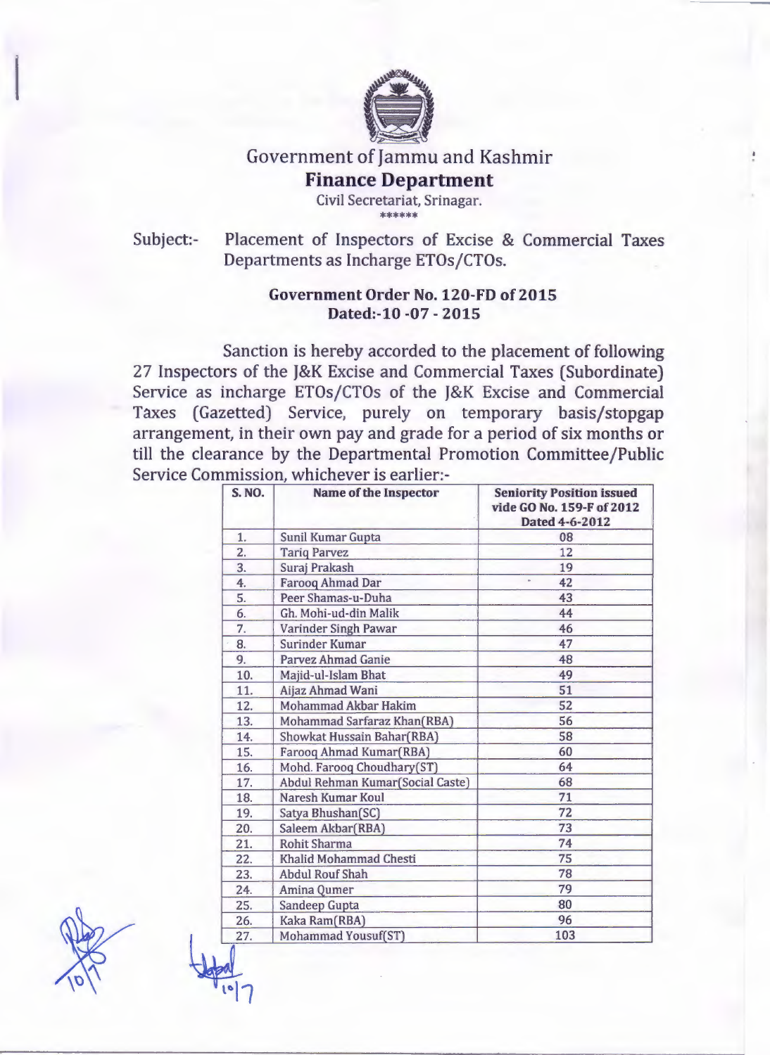

## Government of Jammu and Kashmir **Finance Department**

Civil Secretariat, Srinagar. \*\*\*\*\*\*

Subject:- Placement of Inspectors of Excise & Commercial Taxes Departments as Incharge ETOs/CTOs.

## Government Order No. 120-FD of 2015 Dated:-10 -07 - 2015

Sanction is hereby accorded to the placement of following 27 Inspectors of the J&K Excise and Commercial Taxes (Subordinate) Service as incharge ETOs/CTOs of the J&K Excise and Commercial Taxes (Gazetted) Service, purely on temporary basis/stopgap arrangement, in their own pay and grade for a period of six months or till the clearance by the Departmental Promotion Committee/Public Service Commission, whichever is earlier:-

| <b>S. NO.</b>    | <b>Name of the Inspector</b>     | <b>Seniority Position issued</b><br>vide GO No. 159-F of 2012<br>Dated 4-6-2012 |
|------------------|----------------------------------|---------------------------------------------------------------------------------|
| 1.               | <b>Sunil Kumar Gupta</b>         | 08                                                                              |
| $\overline{2}$ . | <b>Tariq Parvez</b>              | 12                                                                              |
| 3.               | Suraj Prakash                    | 19                                                                              |
| 4.               | <b>Farooq Ahmad Dar</b>          | 42                                                                              |
| 5.               | Peer Shamas-u-Duha               | 43                                                                              |
| 6.               | Gh. Mohi-ud-din Malik            | 44                                                                              |
| 7.               | Varinder Singh Pawar             | 46                                                                              |
| 8.               | <b>Surinder Kumar</b>            | 47                                                                              |
| 9.               | <b>Parvez Ahmad Ganie</b>        | 48                                                                              |
| 10.              | Majid-ul-Islam Bhat              | 49                                                                              |
| 11.              | Aijaz Ahmad Wani                 | 51                                                                              |
| 12.              | <b>Mohammad Akbar Hakim</b>      | 52                                                                              |
| 13.              | Mohammad Sarfaraz Khan(RBA)      | 56                                                                              |
| 14.              | Showkat Hussain Bahar(RBA)       | 58                                                                              |
| 15.              | Farooq Ahmad Kumar(RBA)          | 60                                                                              |
| 16.              | Mohd. Farooq Choudhary(ST)       | 64                                                                              |
| 17.              | Abdul Rehman Kumar(Social Caste) | 68                                                                              |
| 18.              | Naresh Kumar Koul                | 71                                                                              |
| 19.              | Satya Bhushan(SC)                | 72                                                                              |
| 20.              | Saleem Akbar(RBA)                | 73                                                                              |
| 21.              | <b>Rohit Sharma</b>              | 74                                                                              |
| 22.              | Khalid Mohammad Chesti           | 75                                                                              |
| 23.              | <b>Abdul Rouf Shah</b>           | 78                                                                              |
| 24.              | Amina Qumer                      | 79                                                                              |
| 25.              | <b>Sandeep Gupta</b>             | 80                                                                              |
| 26.              | Kaka Ram(RBA)                    | 96                                                                              |
| 27.              | Mohammad Yousuf(ST)              | 103                                                                             |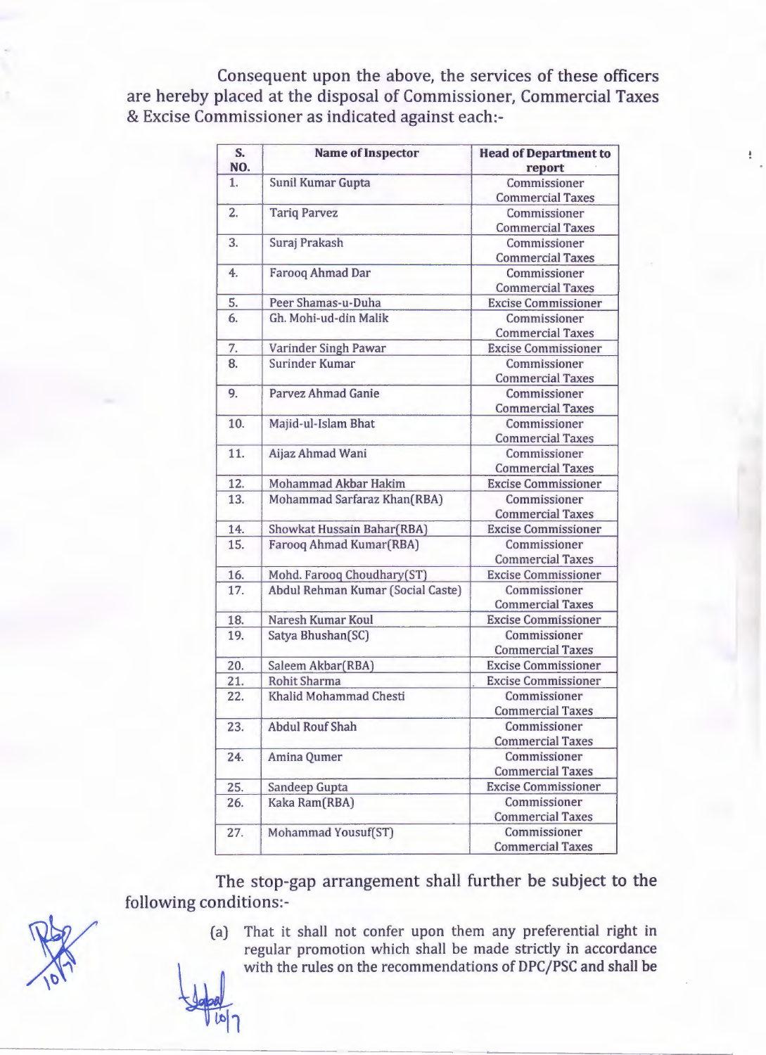Consequent upon the above, the services of these officers are hereby placed at the disposal of Commissioner, Commercial Taxes & Excise Commissioner as indicated against each:-

| S.             | <b>Name of Inspector</b>          | <b>Head of Department to</b> |
|----------------|-----------------------------------|------------------------------|
| NO.            |                                   | report                       |
| 1.             | Sunil Kumar Gupta                 | Commissioner                 |
|                |                                   | <b>Commercial Taxes</b>      |
| $\overline{2}$ | <b>Tariq Parvez</b>               | Commissioner                 |
|                |                                   | <b>Commercial Taxes</b>      |
| 3.             | Suraj Prakash                     | Commissioner                 |
|                |                                   | <b>Commercial Taxes</b>      |
| 4.             | Farooq Ahmad Dar                  | Commissioner                 |
|                |                                   | <b>Commercial Taxes</b>      |
| 5.             | Peer Shamas-u-Duha                | <b>Excise Commissioner</b>   |
| 6.             | Gh. Mohi-ud-din Malik             | Commissioner                 |
|                |                                   | <b>Commercial Taxes</b>      |
| 7.             | Varinder Singh Pawar              | <b>Excise Commissioner</b>   |
| 8.             | Surinder Kumar                    | Commissioner                 |
|                |                                   | <b>Commercial Taxes</b>      |
| 9.             | Parvez Ahmad Ganie                | Commissioner                 |
|                |                                   | <b>Commercial Taxes</b>      |
| 10.            | Majid-ul-Islam Bhat               | Commissioner                 |
|                |                                   | <b>Commercial Taxes</b>      |
| 11.            | Aijaz Ahmad Wani                  | Commissioner                 |
|                |                                   | <b>Commercial Taxes</b>      |
| 12.            | <b>Mohammad Akbar Hakim</b>       | <b>Excise Commissioner</b>   |
| 13.            | Mohammad Sarfaraz Khan(RBA)       | Commissioner                 |
|                |                                   | <b>Commercial Taxes</b>      |
| 14.            | Showkat Hussain Bahar(RBA)        | <b>Excise Commissioner</b>   |
| 15.            | Farooq Ahmad Kumar(RBA)           | Commissioner                 |
|                |                                   | <b>Commercial Taxes</b>      |
| 16.            | Mohd. Farooq Choudhary(ST)        | <b>Excise Commissioner</b>   |
| 17.            | Abdul Rehman Kumar (Social Caste) | Commissioner                 |
|                |                                   | <b>Commercial Taxes</b>      |
| 18.            | <b>Naresh Kumar Koul</b>          | <b>Excise Commissioner</b>   |
| 19.            | Satya Bhushan(SC)                 | Commissioner                 |
|                |                                   | <b>Commercial Taxes</b>      |
| 20.            | Saleem Akbar(RBA)                 | <b>Excise Commissioner</b>   |
| 21.            | <b>Rohit Sharma</b>               | <b>Excise Commissioner</b>   |
| 22.            | Khalid Mohammad Chesti            | Commissioner                 |
|                |                                   | <b>Commercial Taxes</b>      |
| 23.            | <b>Abdul Rouf Shah</b>            | Commissioner                 |
|                |                                   | <b>Commercial Taxes</b>      |
| 24.            | Amina Qumer                       | Commissioner                 |
|                |                                   | <b>Commercial Taxes</b>      |
| 25.            | Sandeep Gupta                     | <b>Excise Commissioner</b>   |
| 26.            | Kaka Ram(RBA)                     | Commissioner                 |
|                |                                   | <b>Commercial Taxes</b>      |
| 27.            | Mohammad Yousuf(ST)               | Commissioner                 |
|                |                                   | <b>Commercial Taxes</b>      |

The stop-gap arrangement shall further be subject to the following conditions:-

- 
- 
- (a) That it shall not confer upon them any preferential right in regular promotion which shall be made strictly in accordance with the rules on the recommendations of DPC/PSC and shall be